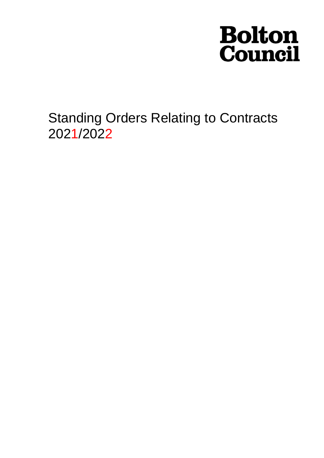# **Bolton<br>Council**

Standing Orders Relating to Contracts 2021/2022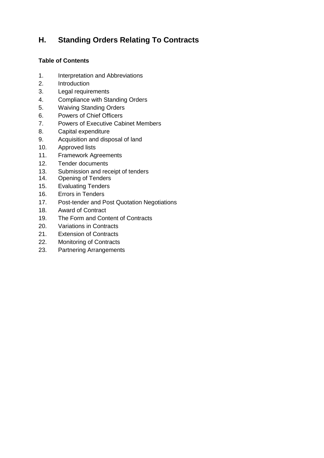# **H. Standing Orders Relating To Contracts**

# **Table of Contents**

- 1. Interpretation and Abbreviations
- 2. Introduction
- 3. Legal requirements
- 4. Compliance with Standing Orders
- 5. Waiving Standing Orders
- 6. Powers of Chief Officers
- 7. Powers of Executive Cabinet Members
- 8. Capital expenditure
- 9. Acquisition and disposal of land
- 10. Approved lists
- 11. Framework Agreements
- 12. Tender documents
- 13. Submission and receipt of tenders
- 14. Opening of Tenders
- 15. Evaluating Tenders
- 16. Errors in Tenders
- 17. Post-tender and Post Quotation Negotiations
- 18. Award of Contract
- 19. The Form and Content of Contracts
- 20. Variations in Contracts
- 21. Extension of Contracts
- 22. Monitoring of Contracts
- 23. Partnering Arrangements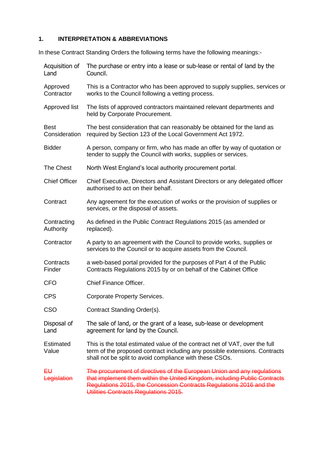# **1. INTERPRETATION & ABBREVIATIONS**

In these Contract Standing Orders the following terms have the following meanings:-

| Acquisition of<br>Land    | The purchase or entry into a lease or sub-lease or rental of land by the<br>Council.                                                                                                                                                                                 |  |  |
|---------------------------|----------------------------------------------------------------------------------------------------------------------------------------------------------------------------------------------------------------------------------------------------------------------|--|--|
| Approved<br>Contractor    | This is a Contractor who has been approved to supply supplies, services or<br>works to the Council following a vetting process.                                                                                                                                      |  |  |
| Approved list             | The lists of approved contractors maintained relevant departments and<br>held by Corporate Procurement.                                                                                                                                                              |  |  |
| Best<br>Consideration     | The best consideration that can reasonably be obtained for the land as<br>required by Section 123 of the Local Government Act 1972.                                                                                                                                  |  |  |
| <b>Bidder</b>             | A person, company or firm, who has made an offer by way of quotation or<br>tender to supply the Council with works, supplies or services.                                                                                                                            |  |  |
| <b>The Chest</b>          | North West England's local authority procurement portal.                                                                                                                                                                                                             |  |  |
| <b>Chief Officer</b>      | Chief Executive, Directors and Assistant Directors or any delegated officer<br>authorised to act on their behalf.                                                                                                                                                    |  |  |
| Contract                  | Any agreement for the execution of works or the provision of supplies or<br>services, or the disposal of assets.                                                                                                                                                     |  |  |
| Contracting<br>Authority  | As defined in the Public Contract Regulations 2015 (as amended or<br>replaced).                                                                                                                                                                                      |  |  |
| Contractor                | A party to an agreement with the Council to provide works, supplies or<br>services to the Council or to acquire assets from the Council.                                                                                                                             |  |  |
| Contracts<br>Finder       | a web-based portal provided for the purposes of Part 4 of the Public<br>Contracts Regulations 2015 by or on behalf of the Cabinet Office                                                                                                                             |  |  |
| <b>CFO</b>                | Chief Finance Officer.                                                                                                                                                                                                                                               |  |  |
| <b>CPS</b>                | <b>Corporate Property Services.</b>                                                                                                                                                                                                                                  |  |  |
| <b>CSO</b>                | Contract Standing Order(s).                                                                                                                                                                                                                                          |  |  |
| Disposal of<br>Land       | The sale of land, or the grant of a lease, sub-lease or development<br>agreement for land by the Council.                                                                                                                                                            |  |  |
| <b>Estimated</b><br>Value | This is the total estimated value of the contract net of VAT, over the full<br>term of the proposed contract including any possible extensions. Contracts<br>shall not be split to avoid compliance with these CSOs.                                                 |  |  |
| €⊎<br>Legislation         | The procurement of directives of the European Union and any regulations<br>that implement them within the United Kingdom, including Public Contracts<br>Regulations 2015, the Concession Contracts Regulations 2016 and the<br>Utilities Contracts Regulations 2015. |  |  |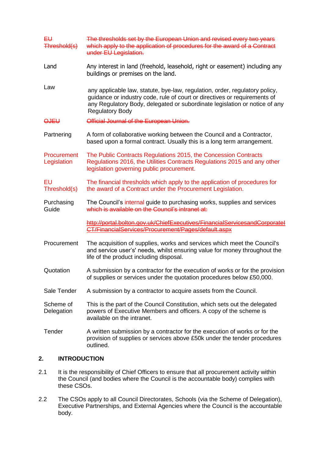| EU<br>Threshold(s)         | The thresholds set by the European Union and revised every two years<br>which apply to the application of procedures for the award of a Contract<br>under EU Legislation.                                                                                        |  |  |
|----------------------------|------------------------------------------------------------------------------------------------------------------------------------------------------------------------------------------------------------------------------------------------------------------|--|--|
| Land                       | Any interest in land (freehold, leasehold, right or easement) including any<br>buildings or premises on the land.                                                                                                                                                |  |  |
| Law                        | any applicable law, statute, bye-law, regulation, order, regulatory policy,<br>guidance or industry code, rule of court or directives or requirements of<br>any Regulatory Body, delegated or subordinate legislation or notice of any<br><b>Regulatory Body</b> |  |  |
| <b>OJEU</b>                | Official Journal of the European Union.                                                                                                                                                                                                                          |  |  |
| Partnering                 | A form of collaborative working between the Council and a Contractor,<br>based upon a formal contract. Usually this is a long term arrangement.                                                                                                                  |  |  |
| Procurement<br>Legislation | The Public Contracts Regulations 2015, the Concession Contracts<br>Regulations 2016, the Utilities Contracts Regulations 2015 and any other<br>legislation governing public procurement.                                                                         |  |  |
| EU<br>Threshold(s)         | The financial thresholds which apply to the application of procedures for<br>the award of a Contract under the Procurement Legislation.                                                                                                                          |  |  |
| Purchasing<br>Guide        | The Council's internal guide to purchasing works, supplies and services<br>which is available on the Council's intranet at:                                                                                                                                      |  |  |
|                            | http://portal.bolton.gov.uk/ChiefExecutives/FinancialServicesandCorporatel<br>CT/FinancialServices/Procurement/Pages/default.aspx                                                                                                                                |  |  |
| Procurement                | The acquisition of supplies, works and services which meet the Council's<br>and service user's' needs, whilst ensuring value for money throughout the<br>life of the product including disposal.                                                                 |  |  |
| Quotation                  | A submission by a contractor for the execution of works or for the provision<br>of supplies or services under the quotation procedures below £50,000.                                                                                                            |  |  |
| Sale Tender                | A submission by a contractor to acquire assets from the Council.                                                                                                                                                                                                 |  |  |
| Scheme of<br>Delegation    | This is the part of the Council Constitution, which sets out the delegated<br>powers of Executive Members and officers. A copy of the scheme is<br>available on the intranet.                                                                                    |  |  |
| Tender                     | A written submission by a contractor for the execution of works or for the<br>provision of supplies or services above £50k under the tender procedures<br>outlined.                                                                                              |  |  |

# **2. INTRODUCTION**

- 2.1 It is the responsibility of Chief Officers to ensure that all procurement activity within the Council (and bodies where the Council is the accountable body) complies with these CSOs.
- 2.2 The CSOs apply to all Council Directorates, Schools (via the Scheme of Delegation), Executive Partnerships, and External Agencies where the Council is the accountable body.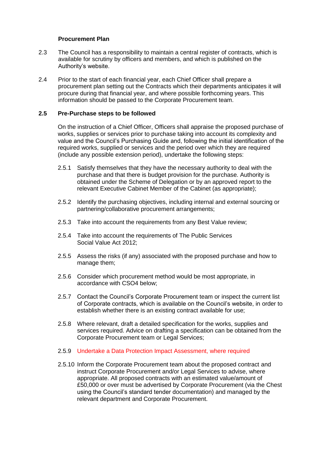#### **Procurement Plan**

- 2.3 The Council has a responsibility to maintain a central register of contracts, which is available for scrutiny by officers and members, and which is published on the Authority's website.
- 2.4 Prior to the start of each financial year, each Chief Officer shall prepare a procurement plan setting out the Contracts which their departments anticipates it will procure during that financial year, and where possible forthcoming years. This information should be passed to the Corporate Procurement team.

#### **2.5 Pre-Purchase steps to be followed**

On the instruction of a Chief Officer, Officers shall appraise the proposed purchase of works, supplies or services prior to purchase taking into account its complexity and value and the Council's Purchasing Guide and, following the initial identification of the required works, supplied or services and the period over which they are required (include any possible extension period), undertake the following steps:

- 2.5.1 Satisfy themselves that they have the necessary authority to deal with the purchase and that there is budget provision for the purchase. Authority is obtained under the Scheme of Delegation or by an approved report to the relevant Executive Cabinet Member of the Cabinet (as appropriate);
- 2.5.2 Identify the purchasing objectives, including internal and external sourcing or partnering/collaborative procurement arrangements;
- 2.5.3 Take into account the requirements from any Best Value review;
- 2.5.4 Take into account the requirements of The Public Services Social Value Act 2012;
- 2.5.5 Assess the risks (if any) associated with the proposed purchase and how to manage them;
- 2.5.6 Consider which procurement method would be most appropriate, in accordance with CSO4 below;
- 2.5.7 Contact the Council's Corporate Procurement team or inspect the current list of Corporate contracts, which is available on the Council's website, in order to establish whether there is an existing contract available for use;
- 2.5.8 Where relevant, draft a detailed specification for the works, supplies and services required. Advice on drafting a specification can be obtained from the Corporate Procurement team or Legal Services;
- 2.5.9 Undertake a Data Protection Impact Assessment, where required
- 2.5.10 Inform the Corporate Procurement team about the proposed contract and instruct Corporate Procurement and/or Legal Services to advise, where appropriate. All proposed contracts with an estimated value/amount of £50,000 or over must be advertised by Corporate Procurement (via the Chest using the Council's standard tender documentation) and managed by the relevant department and Corporate Procurement.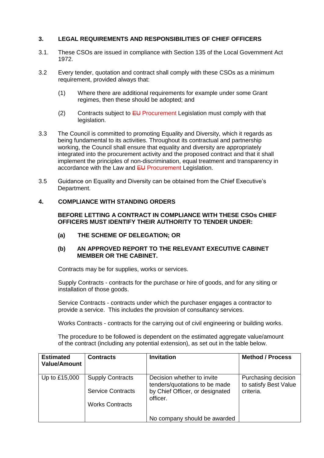### **3. LEGAL REQUIREMENTS AND RESPONSIBILITIES OF CHIEF OFFICERS**

- 3.1. These CSOs are issued in compliance with Section 135 of the Local Government Act 1972.
- 3.2 Every tender, quotation and contract shall comply with these CSOs as a minimum requirement, provided always that:
	- (1) Where there are additional requirements for example under some Grant regimes, then these should be adopted; and
	- (2) Contracts subject to  $EU$  Procurement Legislation must comply with that legislation.
- 3.3 The Council is committed to promoting Equality and Diversity, which it regards as being fundamental to its activities. Throughout its contractual and partnership working, the Council shall ensure that equality and diversity are appropriately integrated into the procurement activity and the proposed contract and that it shall implement the principles of non-discrimination, equal treatment and transparency in accordance with the Law and EU Procurement Legislation.
- 3.5 Guidance on Equality and Diversity can be obtained from the Chief Executive's Department.

#### **4. COMPLIANCE WITH STANDING ORDERS**

**BEFORE LETTING A CONTRACT IN COMPLIANCE WITH THESE CSOs CHIEF OFFICERS MUST IDENTIFY THEIR AUTHORITY TO TENDER UNDER:**

**(a) THE SCHEME OF DELEGATION; OR**

#### **(b) AN APPROVED REPORT TO THE RELEVANT EXECUTIVE CABINET MEMBER OR THE CABINET.**

Contracts may be for supplies, works or services.

Supply Contracts - contracts for the purchase or hire of goods, and for any siting or installation of those goods.

Service Contracts - contracts under which the purchaser engages a contractor to provide a service. This includes the provision of consultancy services.

Works Contracts - contracts for the carrying out of civil engineering or building works.

The procedure to be followed is dependent on the estimated aggregate value/amount of the contract (including any potential extension), as set out in the table below.

| <b>Estimated</b><br><b>Value/Amount</b> | <b>Contracts</b>         | <b>Invitation</b>                                           | <b>Method / Process</b>                      |
|-----------------------------------------|--------------------------|-------------------------------------------------------------|----------------------------------------------|
| Up to £15,000                           | <b>Supply Contracts</b>  | Decision whether to invite<br>tenders/quotations to be made | Purchasing decision<br>to satisfy Best Value |
|                                         | <b>Service Contracts</b> | by Chief Officer, or designated<br>officer.                 | criteria.                                    |
|                                         | <b>Works Contracts</b>   |                                                             |                                              |
|                                         |                          | No company should be awarded                                |                                              |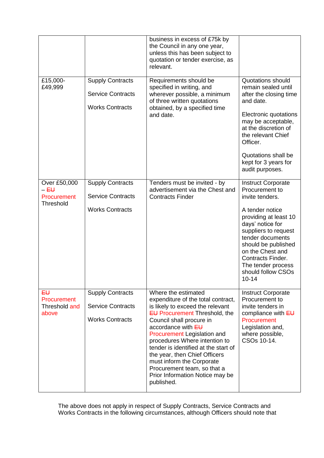|                                                                            |                                                                               | business in excess of £75k by<br>the Council in any one year,<br>unless this has been subject to<br>quotation or tender exercise, as<br>relevant.                                                                                                                                                                                                                                                                                             |                                                                                                                                                                                                                                                                                                            |
|----------------------------------------------------------------------------|-------------------------------------------------------------------------------|-----------------------------------------------------------------------------------------------------------------------------------------------------------------------------------------------------------------------------------------------------------------------------------------------------------------------------------------------------------------------------------------------------------------------------------------------|------------------------------------------------------------------------------------------------------------------------------------------------------------------------------------------------------------------------------------------------------------------------------------------------------------|
| £15,000-<br>£49,999                                                        | <b>Supply Contracts</b><br><b>Service Contracts</b><br><b>Works Contracts</b> | Requirements should be<br>specified in writing, and<br>wherever possible, a minimum<br>of three written quotations<br>obtained, by a specified time<br>and date.                                                                                                                                                                                                                                                                              | <b>Quotations should</b><br>remain sealed until<br>after the closing time<br>and date.<br>Electronic quotations<br>may be acceptable,<br>at the discretion of<br>the relevant Chief<br>Officer.<br>Quotations shall be<br>kept for 3 years for<br>audit purposes.                                          |
| Over £50,000<br>$-\mathsf{E}\mathsf{U}$<br>Procurement<br><b>Threshold</b> | <b>Supply Contracts</b><br><b>Service Contracts</b><br><b>Works Contracts</b> | Tenders must be invited - by<br>advertisement via the Chest and<br><b>Contracts Finder</b>                                                                                                                                                                                                                                                                                                                                                    | <b>Instruct Corporate</b><br>Procurement to<br>invite tenders.<br>A tender notice<br>providing at least 10<br>days' notice for<br>suppliers to request<br>tender documents<br>should be published<br>on the Chest and<br><b>Contracts Finder.</b><br>The tender process<br>should follow CSOs<br>$10 - 14$ |
| ₽Ĥ<br>Procurement<br>Threshold and<br>above                                | <b>Supply Contracts</b><br><b>Service Contracts</b><br><b>Works Contracts</b> | Where the estimated<br>expenditure of the total contract,<br>is likely to exceed the relevant<br><b>EU Procurement Threshold, the</b><br>Council shall procure in<br>accordance with EU<br>Procurement Legislation and<br>procedures Where intention to<br>tender is identified at the start of<br>the year, then Chief Officers<br>must inform the Corporate<br>Procurement team, so that a<br>Prior Information Notice may be<br>published. | <b>Instruct Corporate</b><br>Procurement to<br>invite tenders in<br>compliance with EU<br>Procurement<br>Legislation and,<br>where possible,<br>CSOs 10-14.                                                                                                                                                |

The above does not apply in respect of Supply Contracts, Service Contracts and Works Contracts in the following circumstances, although Officers should note that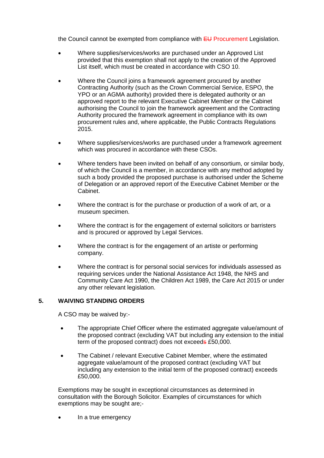the Council cannot be exempted from compliance with  $E\bigcup$  Procurement Legislation.

- Where supplies/services/works are purchased under an Approved List provided that this exemption shall not apply to the creation of the Approved List itself, which must be created in accordance with CSO 10.
- Where the Council joins a framework agreement procured by another Contracting Authority (such as the Crown Commercial Service, ESPO, the YPO or an AGMA authority) provided there is delegated authority or an approved report to the relevant Executive Cabinet Member or the Cabinet authorising the Council to join the framework agreement and the Contracting Authority procured the framework agreement in compliance with its own procurement rules and, where applicable, the Public Contracts Regulations 2015.
- Where supplies/services/works are purchased under a framework agreement which was procured in accordance with these CSOs.
- Where tenders have been invited on behalf of any consortium, or similar body, of which the Council is a member, in accordance with any method adopted by such a body provided the proposed purchase is authorised under the Scheme of Delegation or an approved report of the Executive Cabinet Member or the Cabinet.
- Where the contract is for the purchase or production of a work of art, or a museum specimen.
- Where the contract is for the engagement of external solicitors or barristers and is procured or approved by Legal Services.
- Where the contract is for the engagement of an artiste or performing company.
- Where the contract is for personal social services for individuals assessed as requiring services under the National Assistance Act 1948, the NHS and Community Care Act 1990, the Children Act 1989, the Care Act 2015 or under any other relevant legislation.

#### **5. WAIVING STANDING ORDERS**

A CSO may be waived by:-

- The appropriate Chief Officer where the estimated aggregate value/amount of the proposed contract (excluding VAT but including any extension to the initial term of the proposed contract) does not exceeds £50,000.
- The Cabinet / relevant Executive Cabinet Member, where the estimated aggregate value/amount of the proposed contract (excluding VAT but including any extension to the initial term of the proposed contract) exceeds £50,000.

Exemptions may be sought in exceptional circumstances as determined in consultation with the Borough Solicitor. Examples of circumstances for which exemptions may be sought are;-

In a true emergency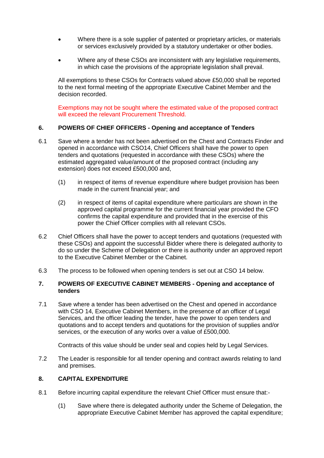- Where there is a sole supplier of patented or proprietary articles, or materials or services exclusively provided by a statutory undertaker or other bodies.
- Where any of these CSOs are inconsistent with any legislative requirements, in which case the provisions of the appropriate legislation shall prevail.

All exemptions to these CSOs for Contracts valued above £50,000 shall be reported to the next formal meeting of the appropriate Executive Cabinet Member and the decision recorded.

Exemptions may not be sought where the estimated value of the proposed contract will exceed the relevant Procurement Threshold.

#### **6. POWERS OF CHIEF OFFICERS - Opening and acceptance of Tenders**

- 6.1 Save where a tender has not been advertised on the Chest and Contracts Finder and opened in accordance with CSO14, Chief Officers shall have the power to open tenders and quotations (requested in accordance with these CSOs) where the estimated aggregated value/amount of the proposed contract (including any extension) does not exceed £500,000 and,
	- (1) in respect of items of revenue expenditure where budget provision has been made in the current financial year; and
	- (2) in respect of items of capital expenditure where particulars are shown in the approved capital programme for the current financial year provided the CFO confirms the capital expenditure and provided that in the exercise of this power the Chief Officer complies with all relevant CSOs.
- 6.2 Chief Officers shall have the power to accept tenders and quotations (requested with these CSOs) and appoint the successful Bidder where there is delegated authority to do so under the Scheme of Delegation or there is authority under an approved report to the Executive Cabinet Member or the Cabinet.
- 6.3 The process to be followed when opening tenders is set out at CSO 14 below.

#### **7. POWERS OF EXECUTIVE CABINET MEMBERS - Opening and acceptance of tenders**

7.1 Save where a tender has been advertised on the Chest and opened in accordance with CSO 14, Executive Cabinet Members, in the presence of an officer of Legal Services, and the officer leading the tender, have the power to open tenders and quotations and to accept tenders and quotations for the provision of supplies and/or services, or the execution of any works over a value of £500,000.

Contracts of this value should be under seal and copies held by Legal Services.

7.2 The Leader is responsible for all tender opening and contract awards relating to land and premises.

#### **8. CAPITAL EXPENDITURE**

- 8.1 Before incurring capital expenditure the relevant Chief Officer must ensure that:-
	- (1) Save where there is delegated authority under the Scheme of Delegation, the appropriate Executive Cabinet Member has approved the capital expenditure;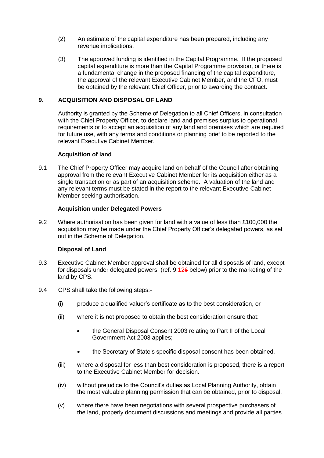- (2) An estimate of the capital expenditure has been prepared, including any revenue implications.
- (3) The approved funding is identified in the Capital Programme. If the proposed capital expenditure is more than the Capital Programme provision, or there is a fundamental change in the proposed financing of the capital expenditure, the approval of the relevant Executive Cabinet Member, and the CFO, must be obtained by the relevant Chief Officer, prior to awarding the contract.

#### **9. ACQUISITION AND DISPOSAL OF LAND**

Authority is granted by the Scheme of Delegation to all Chief Officers, in consultation with the Chief Property Officer, to declare land and premises surplus to operational requirements or to accept an acquisition of any land and premises which are required for future use, with any terms and conditions or planning brief to be reported to the relevant Executive Cabinet Member.

#### **Acquisition of land**

9.1 The Chief Property Officer may acquire land on behalf of the Council after obtaining approval from the relevant Executive Cabinet Member for its acquisition either as a single transaction or as part of an acquisition scheme. A valuation of the land and any relevant terms must be stated in the report to the relevant Executive Cabinet Member seeking authorisation.

#### **Acquisition under Delegated Powers**

9.2 Where authorisation has been given for land with a value of less than £100,000 the acquisition may be made under the Chief Property Officer's delegated powers, as set out in the Scheme of Delegation.

#### **Disposal of Land**

- 9.3 Executive Cabinet Member approval shall be obtained for all disposals of land, except for disposals under delegated powers, (ref. 9.126 below) prior to the marketing of the land by CPS.
- 9.4 CPS shall take the following steps:-
	- (i) produce a qualified valuer's certificate as to the best consideration, or
	- (ii) where it is not proposed to obtain the best consideration ensure that:
		- the General Disposal Consent 2003 relating to Part II of the Local Government Act 2003 applies;
		- the Secretary of State's specific disposal consent has been obtained.
	- (iii) where a disposal for less than best consideration is proposed, there is a report to the Executive Cabinet Member for decision.
	- (iv) without prejudice to the Council's duties as Local Planning Authority, obtain the most valuable planning permission that can be obtained, prior to disposal.
	- (v) where there have been negotiations with several prospective purchasers of the land, properly document discussions and meetings and provide all parties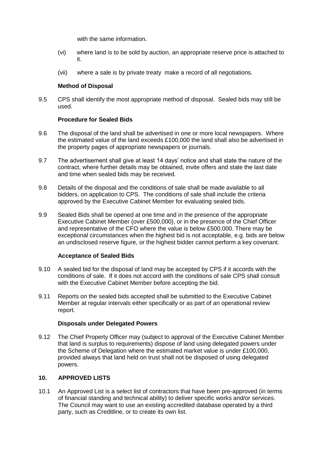with the same information.

- (vi) where land is to be sold by auction, an appropriate reserve price is attached to it.
- (vii) where a sale is by private treaty make a record of all negotiations.

#### **Method of Disposal**

9.5 CPS shall identify the most appropriate method of disposal. Sealed bids may still be used.

#### **Procedure for Sealed Bids**

- 9.6 The disposal of the land shall be advertised in one or more local newspapers. Where the estimated value of the land exceeds £100,000 the land shall also be advertised in the property pages of appropriate newspapers or journals.
- 9.7 The advertisement shall give at least 14 days' notice and shall state the nature of the contract, where further details may be obtained, invite offers and state the last date and time when sealed bids may be received.
- 9.8 Details of the disposal and the conditions of sale shall be made available to all bidders, on application to CPS. The conditions of sale shall include the criteria approved by the Executive Cabinet Member for evaluating sealed bids.
- 9.9 Sealed Bids shall be opened at one time and in the presence of the appropriate Executive Cabinet Member (over £500,000), or in the presence of the Chief Officer and representative of the CFO where the value is below £500,000. There may be exceptional circumstances when the highest bid is not acceptable, e.g. bids are below an undisclosed reserve figure, or the highest bidder cannot perform a key covenant.

#### **Acceptance of Sealed Bids**

- 9.10 A sealed bid for the disposal of land may be accepted by CPS if it accords with the conditions of sale. If it does not accord with the conditions of sale CPS shall consult with the Executive Cabinet Member before accepting the bid.
- 9.11 Reports on the sealed bids accepted shall be submitted to the Executive Cabinet Member at regular intervals either specifically or as part of an operational review report.

#### **Disposals under Delegated Powers**

9.12 The Chief Property Officer may (subject to approval of the Executive Cabinet Member that land is surplus to requirements) dispose of land using delegated powers under the Scheme of Delegation where the estimated market value is under £100,000, provided always that land held on trust shall not be disposed of using delegated powers.

# **10. APPROVED LISTS**

10.1 An Approved List is a select list of contractors that have been pre-approved (in terms of financial standing and technical ability) to deliver specific works and/or services. The Council may want to use an existing accredited database operated by a third party, such as Creditline, or to create its own list.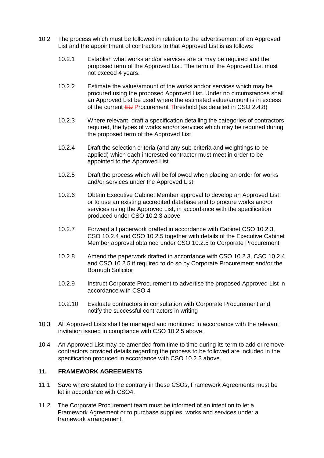- 10.2 The process which must be followed in relation to the advertisement of an Approved List and the appointment of contractors to that Approved List is as follows:
	- 10.2.1 Establish what works and/or services are or may be required and the proposed term of the Approved List. The term of the Approved List must not exceed 4 years.
	- 10.2.2 Estimate the value/amount of the works and/or services which may be procured using the proposed Approved List. Under no circumstances shall an Approved List be used where the estimated value/amount is in excess of the current  $EU$  Procurement Threshold (as detailed in CSO 2.4.8)
	- 10.2.3 Where relevant, draft a specification detailing the categories of contractors required, the types of works and/or services which may be required during the proposed term of the Approved List
	- 10.2.4 Draft the selection criteria (and any sub-criteria and weightings to be applied) which each interested contractor must meet in order to be appointed to the Approved List
	- 10.2.5 Draft the process which will be followed when placing an order for works and/or services under the Approved List
	- 10.2.6 Obtain Executive Cabinet Member approval to develop an Approved List or to use an existing accredited database and to procure works and/or services using the Approved List, in accordance with the specification produced under CSO 10.2.3 above
	- 10.2.7 Forward all paperwork drafted in accordance with Cabinet CSO 10.2.3, CSO 10.2.4 and CSO 10.2.5 together with details of the Executive Cabinet Member approval obtained under CSO 10.2.5 to Corporate Procurement
	- 10.2.8 Amend the paperwork drafted in accordance with CSO 10.2.3, CSO 10.2.4 and CSO 10.2.5 if required to do so by Corporate Procurement and/or the Borough Solicitor
	- 10.2.9 Instruct Corporate Procurement to advertise the proposed Approved List in accordance with CSO 4
	- 10.2.10 Evaluate contractors in consultation with Corporate Procurement and notify the successful contractors in writing
- 10.3 All Approved Lists shall be managed and monitored in accordance with the relevant invitation issued in compliance with CSO 10.2.5 above.
- 10.4 An Approved List may be amended from time to time during its term to add or remove contractors provided details regarding the process to be followed are included in the specification produced in accordance with CSO 10.2.3 above.

#### **11. FRAMEWORK AGREEMENTS**

- 11.1 Save where stated to the contrary in these CSOs, Framework Agreements must be let in accordance with CSO4.
- 11.2 The Corporate Procurement team must be informed of an intention to let a Framework Agreement or to purchase supplies, works and services under a framework arrangement.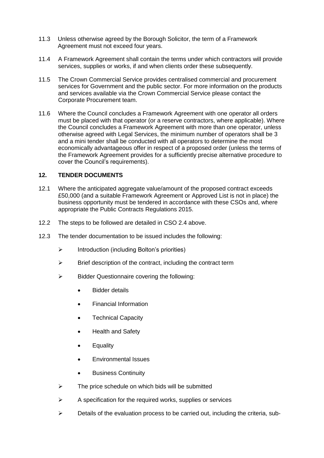- 11.3 Unless otherwise agreed by the Borough Solicitor, the term of a Framework Agreement must not exceed four years.
- 11.4 A Framework Agreement shall contain the terms under which contractors will provide services, supplies or works, if and when clients order these subsequently.
- 11.5 The Crown Commercial Service provides centralised commercial and procurement services for Government and the public sector. For more information on the products and services available via the Crown Commercial Service please contact the Corporate Procurement team.
- 11.6 Where the Council concludes a Framework Agreement with one operator all orders must be placed with that operator (or a reserve contractors, where applicable). Where the Council concludes a Framework Agreement with more than one operator, unless otherwise agreed with Legal Services, the minimum number of operators shall be 3 and a mini tender shall be conducted with all operators to determine the most economically advantageous offer in respect of a proposed order (unless the terms of the Framework Agreement provides for a sufficiently precise alternative procedure to cover the Council's requirements).

#### **12. TENDER DOCUMENTS**

- 12.1 Where the anticipated aggregate value/amount of the proposed contract exceeds £50,000 (and a suitable Framework Agreement or Approved List is not in place) the business opportunity must be tendered in accordance with these CSOs and, where appropriate the Public Contracts Regulations 2015.
- 12.2 The steps to be followed are detailed in CSO 2.4 above.
- 12.3 The tender documentation to be issued includes the following:
	- $\triangleright$  Introduction (including Bolton's priorities)
	- $\triangleright$  Brief description of the contract, including the contract term
	- $\triangleright$  Bidder Questionnaire covering the following:
		- Bidder details
		- Financial Information
		- Technical Capacity
		- Health and Safety
		- Equality
		- Environmental Issues
		- Business Continuity
	- $\triangleright$  The price schedule on which bids will be submitted
	- $\triangleright$  A specification for the required works, supplies or services
	- $\triangleright$  Details of the evaluation process to be carried out, including the criteria, sub-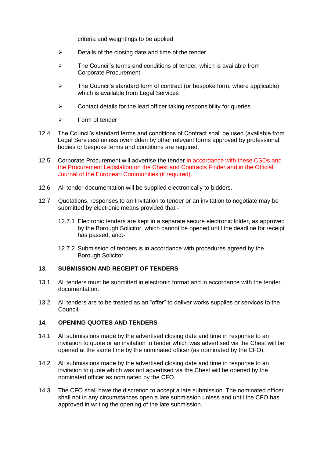criteria and weightings to be applied

- $\triangleright$  Details of the closing date and time of the tender
- $\triangleright$  The Council's terms and conditions of tender, which is available from Corporate Procurement
- $\triangleright$  The Council's standard form of contract (or bespoke form, where applicable) which is available from Legal Services
- $\triangleright$  Contact details for the lead officer taking responsibility for queries
- $\triangleright$  Form of tender
- 12.4 The Council's standard terms and conditions of Contract shall be used (available from Legal Services) unless overridden by other relevant forms approved by professional bodies or bespoke terms and conditions are required.
- 12.5 Corporate Procurement will advertise the tender in accordance with these CSOs and the Procurement Legislation on the Chest and Contracts Finder and in the Official Journal of the European Communities (if required).
- 12.6 All tender documentation will be supplied electronically to bidders.
- 12.7 Quotations, responses to an Invitation to tender or an invitation to negotiate may be submitted by electronic means provided that:-
	- 12.7.1 Electronic tenders are kept in a separate secure electronic folder, as approved by the Borough Solicitor, which cannot be opened until the deadline for receipt has passed, and:-
	- 12.7.2 Submission of tenders is in accordance with procedures agreed by the Borough Solicitor.

#### **13. SUBMISSION AND RECEIPT OF TENDERS**

- 13.1 All tenders must be submitted in electronic format and in accordance with the tender documentation.
- 13.2 All tenders are to be treated as an "offer" to deliver works supplies or services to the Council.

#### **14. OPENING QUOTES AND TENDERS**

- 14.1 All submissions made by the advertised closing date and time in response to an invitation to quote or an invitation to tender which was advertised via the Chest will be opened at the same time by the nominated officer (as nominated by the CFO).
- 14.2 All submissions made by the advertised closing date and time in response to an invitation to quote which was not advertised via the Chest will be opened by the nominated officer as nominated by the CFO.
- 14.3 The CFO shall have the discretion to accept a late submission. The nominated officer shall not in any circumstances open a late submission unless and until the CFO has approved in writing the opening of the late submission.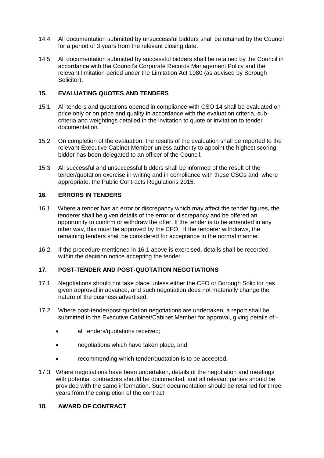- 14.4 All documentation submitted by unsuccessful bidders shall be retained by the Council for a period of 3 years from the relevant closing date.
- 14.5 All documentation submitted by successful bidders shall be retained by the Council in accordance with the Council's Corporate Records Management Policy and the relevant limitation period under the Limitation Act 1980 (as advised by Borough Solicitor).

#### **15. EVALUATING QUOTES AND TENDERS**

- 15.1 All tenders and quotations opened in compliance with CSO 14 shall be evaluated on price only or on price and quality in accordance with the evaluation criteria, subcriteria and weightings detailed in the invitation to quote or invitation to tender documentation.
- 15.2 On completion of the evaluation, the results of the evaluation shall be reported to the relevant Executive Cabinet Member unless authority to appoint the highest scoring bidder has been delegated to an officer of the Council.
- 15.3 All successful and unsuccessful bidders shall be informed of the result of the tender/quotation exercise in writing and in compliance with these CSOs and, where appropriate, the Public Contracts Regulations 2015.

#### **16. ERRORS IN TENDERS**

- 16.1 Where a tender has an error or discrepancy which may affect the tender figures, the tenderer shall be given details of the error or discrepancy and be offered an opportunity to confirm or withdraw the offer. If the tender is to be amended in any other way, this must be approved by the CFO. If the tenderer withdraws, the remaining tenders shall be considered for acceptance in the normal manner.
- 16.2 If the procedure mentioned in 16.1 above is exercised, details shall be recorded within the decision notice accepting the tender.

# **17. POST-TENDER AND POST-QUOTATION NEGOTIATIONS**

- 17.1 Negotiations should not take place unless either the CFO or Borough Solicitor has given approval in advance, and such negotiation does not materially change the nature of the business advertised.
- 17.2 Where post-tender/post-quotation negotiations are undertaken, a report shall be submitted to the Executive Cabinet/Cabinet Member for approval, giving details of:-
	- all tenders/quotations received:
	- negotiations which have taken place, and
	- recommending which tender/quotation is to be accepted.
- 17.3 Where negotiations have been undertaken, details of the negotiation and meetings with potential contractors should be documented, and all relevant parties should be provided with the same information. Such documentation should be retained for three years from the completion of the contract.

#### **18. AWARD OF CONTRACT**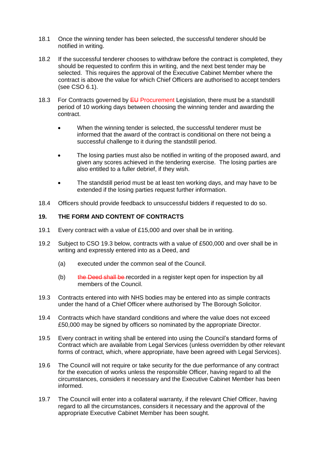- 18.1 Once the winning tender has been selected, the successful tenderer should be notified in writing.
- 18.2 If the successful tenderer chooses to withdraw before the contract is completed, they should be requested to confirm this in writing, and the next best tender may be selected. This requires the approval of the Executive Cabinet Member where the contract is above the value for which Chief Officers are authorised to accept tenders (see CSO 6.1).
- 18.3 For Contracts governed by  $E U$  Procurement Legislation, there must be a standstill period of 10 working days between choosing the winning tender and awarding the contract.
	- When the winning tender is selected, the successful tenderer must be informed that the award of the contract is conditional on there not being a successful challenge to it during the standstill period.
	- The losing parties must also be notified in writing of the proposed award, and given any scores achieved in the tendering exercise. The losing parties are also entitled to a fuller debrief, if they wish.
	- The standstill period must be at least ten working days, and may have to be extended if the losing parties request further information.
- 18.4 Officers should provide feedback to unsuccessful bidders if requested to do so.

### **19. THE FORM AND CONTENT OF CONTRACTS**

- 19.1 Every contract with a value of £15,000 and over shall be in writing.
- 19.2 Subject to CSO 19.3 below, contracts with a value of £500,000 and over shall be in writing and expressly entered into as a Deed, and
	- (a) executed under the common seal of the Council.
	- $(b)$  the Deed shall be recorded in a register kept open for inspection by all members of the Council.
- 19.3 Contracts entered into with NHS bodies may be entered into as simple contracts under the hand of a Chief Officer where authorised by The Borough Solicitor.
- 19.4 Contracts which have standard conditions and where the value does not exceed £50,000 may be signed by officers so nominated by the appropriate Director.
- 19.5 Every contract in writing shall be entered into using the Council's standard forms of Contract which are available from Legal Services (unless overridden by other relevant forms of contract, which, where appropriate, have been agreed with Legal Services).
- 19.6 The Council will not require or take security for the due performance of any contract for the execution of works unless the responsible Officer, having regard to all the circumstances, considers it necessary and the Executive Cabinet Member has been informed.
- 19.7 The Council will enter into a collateral warranty, if the relevant Chief Officer, having regard to all the circumstances, considers it necessary and the approval of the appropriate Executive Cabinet Member has been sought.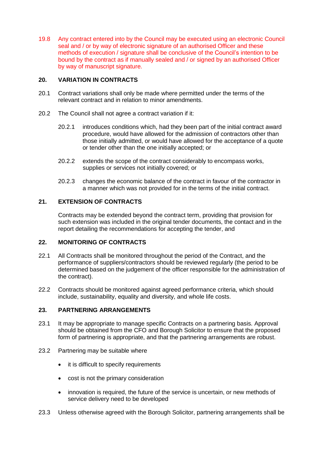19.8 Any contract entered into by the Council may be executed using an electronic Council seal and / or by way of electronic signature of an authorised Officer and these methods of execution / signature shall be conclusive of the Council's intention to be bound by the contract as if manually sealed and / or signed by an authorised Officer by way of manuscript signature.

#### **20. VARIATION IN CONTRACTS**

- 20.1 Contract variations shall only be made where permitted under the terms of the relevant contract and in relation to minor amendments.
- 20.2 The Council shall not agree a contract variation if it:
	- 20.2.1 introduces conditions which, had they been part of the initial contract award procedure, would have allowed for the admission of contractors other than those initially admitted, or would have allowed for the acceptance of a quote or tender other than the one initially accepted; or
	- 20.2.2 extends the scope of the contract considerably to encompass works, supplies or services not initially covered; or
	- 20.2.3 changes the economic balance of the contract in favour of the contractor in a manner which was not provided for in the terms of the initial contract.

### **21. EXTENSION OF CONTRACTS**

Contracts may be extended beyond the contract term, providing that provision for such extension was included in the original tender documents, the contact and in the report detailing the recommendations for accepting the tender, and

# **22. MONITORING OF CONTRACTS**

- 22.1 All Contracts shall be monitored throughout the period of the Contract, and the performance of suppliers/contractors should be reviewed regularly (the period to be determined based on the judgement of the officer responsible for the administration of the contract).
- 22.2 Contracts should be monitored against agreed performance criteria, which should include, sustainability, equality and diversity, and whole life costs.

#### **23. PARTNERING ARRANGEMENTS**

- 23.1 It may be appropriate to manage specific Contracts on a partnering basis. Approval should be obtained from the CFO and Borough Solicitor to ensure that the proposed form of partnering is appropriate, and that the partnering arrangements are robust.
- 23.2 Partnering may be suitable where
	- it is difficult to specify requirements
	- cost is not the primary consideration
	- innovation is required, the future of the service is uncertain, or new methods of service delivery need to be developed
- 23.3 Unless otherwise agreed with the Borough Solicitor, partnering arrangements shall be